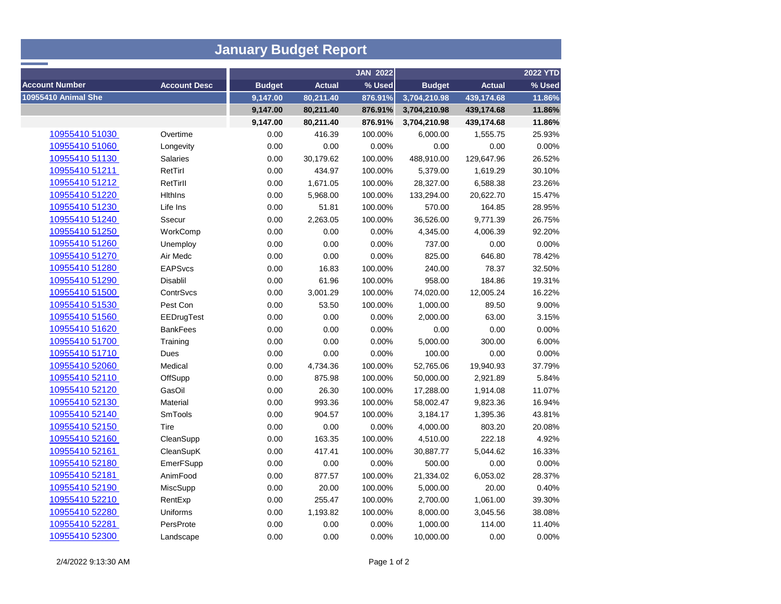| <b>January Budget Report</b> |                     |               |               |                 |               |               |                 |  |  |  |  |  |
|------------------------------|---------------------|---------------|---------------|-----------------|---------------|---------------|-----------------|--|--|--|--|--|
|                              |                     |               |               | <b>JAN 2022</b> |               |               | <b>2022 YTD</b> |  |  |  |  |  |
| <b>Account Number</b>        | <b>Account Desc</b> | <b>Budget</b> | <b>Actual</b> | % Used          | <b>Budget</b> | <b>Actual</b> | % Used          |  |  |  |  |  |
| <b>10955410 Animal She</b>   |                     | 9,147.00      | 80,211.40     | 876.91%         | 3,704,210.98  | 439,174.68    | 11.86%          |  |  |  |  |  |
|                              |                     | 9,147.00      | 80,211.40     | 876.91%         | 3,704,210.98  | 439,174.68    | 11.86%          |  |  |  |  |  |
|                              |                     | 9,147.00      | 80,211.40     | 876.91%         | 3,704,210.98  | 439,174.68    | 11.86%          |  |  |  |  |  |
| 10955410 51030               | Overtime            | 0.00          | 416.39        | 100.00%         | 6,000.00      | 1,555.75      | 25.93%          |  |  |  |  |  |
| 10955410 51060               | Longevity           | 0.00          | 0.00          | 0.00%           | 0.00          | 0.00          | 0.00%           |  |  |  |  |  |
| 10955410 51130               | <b>Salaries</b>     | 0.00          | 30,179.62     | 100.00%         | 488,910.00    | 129,647.96    | 26.52%          |  |  |  |  |  |
| 10955410 51211               | RetTirl             | 0.00          | 434.97        | 100.00%         | 5,379.00      | 1,619.29      | 30.10%          |  |  |  |  |  |
| 10955410 51212               | RetTirll            | 0.00          | 1,671.05      | 100.00%         | 28,327.00     | 6,588.38      | 23.26%          |  |  |  |  |  |
| 10955410 51220               | <b>Hithins</b>      | 0.00          | 5,968.00      | 100.00%         | 133,294.00    | 20,622.70     | 15.47%          |  |  |  |  |  |
| 10955410 51230               | Life Ins            | 0.00          | 51.81         | 100.00%         | 570.00        | 164.85        | 28.95%          |  |  |  |  |  |
| 10955410 51240               | Ssecur              | 0.00          | 2,263.05      | 100.00%         | 36,526.00     | 9,771.39      | 26.75%          |  |  |  |  |  |
| 10955410 51250               | WorkComp            | 0.00          | 0.00          | 0.00%           | 4,345.00      | 4,006.39      | 92.20%          |  |  |  |  |  |
| 10955410 51260               | Unemploy            | 0.00          | 0.00          | 0.00%           | 737.00        | 0.00          | 0.00%           |  |  |  |  |  |
| 10955410 51270               | Air Medc            | 0.00          | 0.00          | 0.00%           | 825.00        | 646.80        | 78.42%          |  |  |  |  |  |
| 10955410 51280               | <b>EAPSvcs</b>      | 0.00          | 16.83         | 100.00%         | 240.00        | 78.37         | 32.50%          |  |  |  |  |  |
| 10955410 51290               | Disablil            | 0.00          | 61.96         | 100.00%         | 958.00        | 184.86        | 19.31%          |  |  |  |  |  |
| 10955410 51500               | ContrSvcs           | 0.00          | 3,001.29      | 100.00%         | 74,020.00     | 12,005.24     | 16.22%          |  |  |  |  |  |
| 10955410 51530               | Pest Con            | 0.00          | 53.50         | 100.00%         | 1,000.00      | 89.50         | 9.00%           |  |  |  |  |  |
| 10955410 51560               | EEDrugTest          | 0.00          | 0.00          | 0.00%           | 2,000.00      | 63.00         | 3.15%           |  |  |  |  |  |
| 10955410 51620               | <b>BankFees</b>     | 0.00          | 0.00          | 0.00%           | 0.00          | 0.00          | 0.00%           |  |  |  |  |  |
| 10955410 51700               | Training            | 0.00          | 0.00          | 0.00%           | 5,000.00      | 300.00        | 6.00%           |  |  |  |  |  |
| 10955410 51710               | Dues                | 0.00          | 0.00          | 0.00%           | 100.00        | 0.00          | 0.00%           |  |  |  |  |  |
| 10955410 52060               | Medical             | 0.00          | 4,734.36      | 100.00%         | 52,765.06     | 19,940.93     | 37.79%          |  |  |  |  |  |
| 10955410 52110               | OffSupp             | 0.00          | 875.98        | 100.00%         | 50,000.00     | 2,921.89      | 5.84%           |  |  |  |  |  |
| 10955410 52120               | GasOil              | 0.00          | 26.30         | 100.00%         | 17,288.00     | 1,914.08      | 11.07%          |  |  |  |  |  |
| 10955410 52130               | Material            | 0.00          | 993.36        | 100.00%         | 58,002.47     | 9,823.36      | 16.94%          |  |  |  |  |  |
| 10955410 52140               | <b>SmTools</b>      | 0.00          | 904.57        | 100.00%         | 3,184.17      | 1,395.36      | 43.81%          |  |  |  |  |  |
| 10955410 52150               | Tire                | 0.00          | 0.00          | 0.00%           | 4,000.00      | 803.20        | 20.08%          |  |  |  |  |  |
| 10955410 52160               | CleanSupp           | 0.00          | 163.35        | 100.00%         | 4,510.00      | 222.18        | 4.92%           |  |  |  |  |  |
| 10955410 52161               | CleanSupK           | 0.00          | 417.41        | 100.00%         | 30,887.77     | 5,044.62      | 16.33%          |  |  |  |  |  |
| 10955410 52180               | EmerFSupp           | 0.00          | 0.00          | 0.00%           | 500.00        | 0.00          | 0.00%           |  |  |  |  |  |
| 10955410 52181               | AnimFood            | 0.00          | 877.57        | 100.00%         | 21,334.02     | 6,053.02      | 28.37%          |  |  |  |  |  |
| 10955410 52190               | MiscSupp            | 0.00          | 20.00         | 100.00%         | 5,000.00      | 20.00         | 0.40%           |  |  |  |  |  |
| 10955410 52210               | RentExp             | 0.00          | 255.47        | 100.00%         | 2,700.00      | 1,061.00      | 39.30%          |  |  |  |  |  |
| 10955410 52280               | Uniforms            | 0.00          | 1,193.82      | 100.00%         | 8,000.00      | 3,045.56      | 38.08%          |  |  |  |  |  |
| 10955410 52281               | PersProte           | 0.00          | 0.00          | 0.00%           | 1,000.00      | 114.00        | 11.40%          |  |  |  |  |  |
| 10955410 52300               | Landscape           | 0.00          | 0.00          | 0.00%           | 10,000.00     | 0.00          | 0.00%           |  |  |  |  |  |